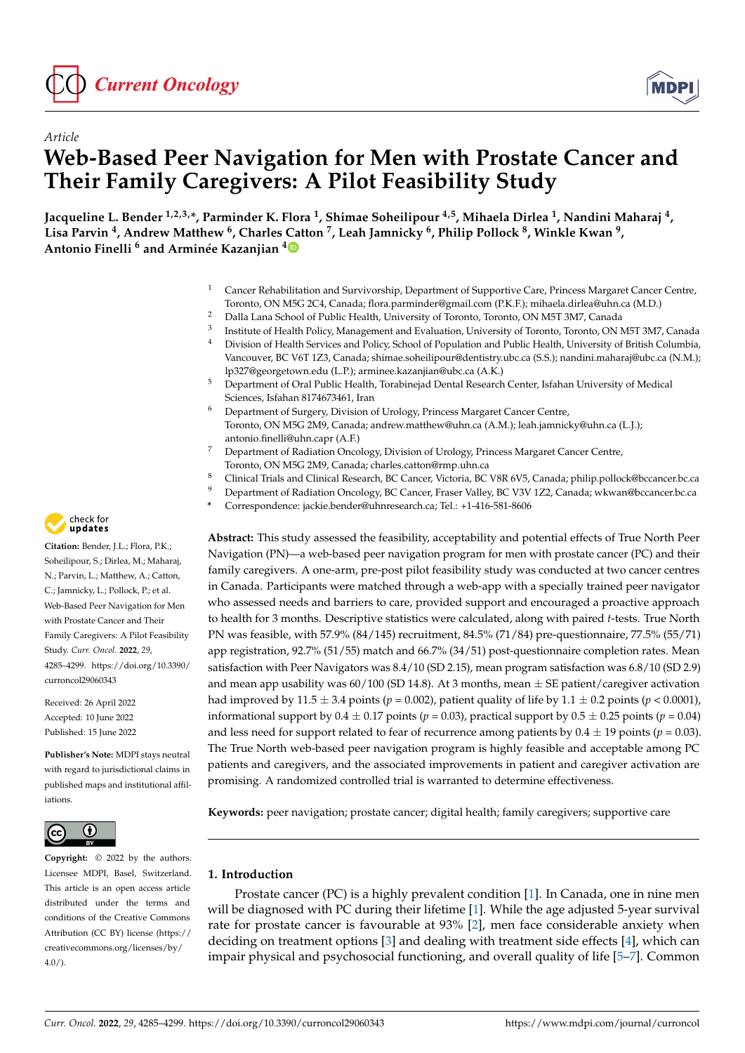



# *Article* **Web-Based Peer Navigation for Men with Prostate Cancer and Their Family Caregivers: A Pilot Feasibility Study**

**Jacqueline L. Bender 1,2,3,\*, Parminder K. Flora <sup>1</sup> , Shimae Soheilipour 4,5, Mihaela Dirlea <sup>1</sup> , Nandini Maharaj <sup>4</sup> , Lisa Parvin <sup>4</sup> , Andrew Matthew <sup>6</sup> , Charles [Ca](https://orcid.org/0000-0001-8702-1522)tton <sup>7</sup> , Leah Jamnicky <sup>6</sup> , Philip Pollock <sup>8</sup> , Winkle Kwan <sup>9</sup> , Antonio Finelli <sup>6</sup> and Arminée Kazanjian <sup>4</sup>**

- <sup>1</sup> Cancer Rehabilitation and Survivorship, Department of Supportive Care, Princess Margaret Cancer Centre, Toronto, ON M5G 2C4, Canada; flora.parminder@gmail.com (P.K.F.); mihaela.dirlea@uhn.ca (M.D.)
- <sup>2</sup> Dalla Lana School of Public Health, University of Toronto, Toronto, ON M5T 3M7, Canada
- 3 Institute of Health Policy, Management and Evaluation, University of Toronto, Toronto, ON M5T 3M7, Canada
- <sup>4</sup> Division of Health Services and Policy, School of Population and Public Health, University of British Columbia, Vancouver, BC V6T 1Z3, Canada; shimae.soheilipour@dentistry.ubc.ca (S.S.); nandini.maharaj@ubc.ca (N.M.); lp327@georgetown.edu (L.P.); arminee.kazanjian@ubc.ca (A.K.)
- <sup>5</sup> Department of Oral Public Health, Torabinejad Dental Research Center, Isfahan University of Medical Sciences, Isfahan 8174673461, Iran
- <sup>6</sup> Department of Surgery, Division of Urology, Princess Margaret Cancer Centre, Toronto, ON M5G 2M9, Canada; andrew.matthew@uhn.ca (A.M.); leah.jamnicky@uhn.ca (L.J.); antonio.finelli@uhn.capr (A.F.)
- <sup>7</sup> Department of Radiation Oncology, Division of Urology, Princess Margaret Cancer Centre, Toronto, ON M5G 2M9, Canada; charles.catton@rmp.uhn.ca
- 8 Clinical Trials and Clinical Research, BC Cancer, Victoria, BC V8R 6V5, Canada; philip.pollock@bccancer.bc.ca<br>9 Department of Badiation Operatory BC Cancer, Frager Valley, BC V2V 172, Canada; vilgyze@becancer.bc.ca
- <sup>9</sup> Department of Radiation Oncology, BC Cancer, Fraser Valley, BC V3V 1Z2, Canada; wkwan@bccancer.bc.ca
- **\*** Correspondence: jackie.bender@uhnresearch.ca; Tel.: +1-416-581-8606

**Abstract:** This study assessed the feasibility, acceptability and potential effects of True North Peer Navigation (PN)—a web-based peer navigation program for men with prostate cancer (PC) and their family caregivers. A one-arm, pre-post pilot feasibility study was conducted at two cancer centres in Canada. Participants were matched through a web-app with a specially trained peer navigator who assessed needs and barriers to care, provided support and encouraged a proactive approach to health for 3 months. Descriptive statistics were calculated, along with paired *t*-tests. True North PN was feasible, with 57.9% (84/145) recruitment, 84.5% (71/84) pre-questionnaire, 77.5% (55/71) app registration, 92.7% (51/55) match and 66.7% (34/51) post-questionnaire completion rates. Mean satisfaction with Peer Navigators was 8.4/10 (SD 2.15), mean program satisfaction was 6.8/10 (SD 2.9) and mean app usability was  $60/100$  (SD 14.8). At 3 months, mean  $\pm$  SE patient/caregiver activation had improved by  $11.5 \pm 3.4$  points ( $p = 0.002$ ), patient quality of life by  $1.1 \pm 0.2$  points ( $p < 0.0001$ ), informational support by  $0.4 \pm 0.17$  points ( $p = 0.03$ ), practical support by  $0.5 \pm 0.25$  points ( $p = 0.04$ ) and less need for support related to fear of recurrence among patients by  $0.4 \pm 19$  points ( $p = 0.03$ ). The True North web-based peer navigation program is highly feasible and acceptable among PC patients and caregivers, and the associated improvements in patient and caregiver activation are promising. A randomized controlled trial is warranted to determine effectiveness.

**Keywords:** peer navigation; prostate cancer; digital health; family caregivers; supportive care

# **1. Introduction**

Prostate cancer (PC) is a highly prevalent condition [\[1\]](#page-12-0). In Canada, one in nine men will be diagnosed with PC during their lifetime [\[1\]](#page-12-0). While the age adjusted 5-year survival rate for prostate cancer is favourable at 93% [\[2\]](#page-12-1), men face considerable anxiety when deciding on treatment options [\[3\]](#page-12-2) and dealing with treatment side effects [\[4\]](#page-12-3), which can impair physical and psychosocial functioning, and overall quality of life [\[5](#page-12-4)[–7\]](#page-12-5). Common



**Citation:** Bender, J.L.; Flora, P.K.; Soheilipour, S.; Dirlea, M.; Maharaj, N.; Parvin, L.; Matthew, A.; Catton, C.; Jamnicky, L.; Pollock, P.; et al. Web-Based Peer Navigation for Men with Prostate Cancer and Their Family Caregivers: A Pilot Feasibility Study. *Curr. Oncol.* **2022**, *29*, 4285–4299. [https://doi.org/10.3390/](https://doi.org/10.3390/curroncol29060343) [curroncol29060343](https://doi.org/10.3390/curroncol29060343)

Received: 26 April 2022 Accepted: 10 June 2022 Published: 15 June 2022

**Publisher's Note:** MDPI stays neutral with regard to jurisdictional claims in published maps and institutional affiliations.



**Copyright:** © 2022 by the authors. Licensee MDPI, Basel, Switzerland. This article is an open access article distributed under the terms and conditions of the Creative Commons Attribution (CC BY) license [\(https://](https://creativecommons.org/licenses/by/4.0/) [creativecommons.org/licenses/by/](https://creativecommons.org/licenses/by/4.0/)  $4.0/$ ).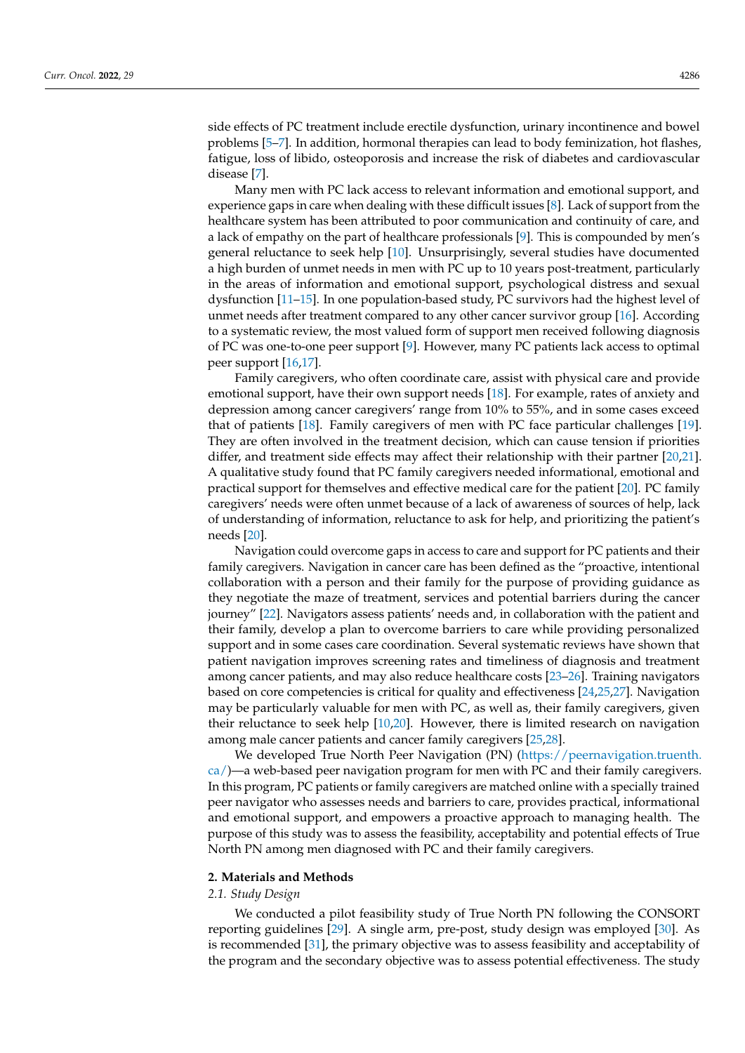side effects of PC treatment include erectile dysfunction, urinary incontinence and bowel problems [\[5–](#page-12-4)[7\]](#page-12-5). In addition, hormonal therapies can lead to body feminization, hot flashes, fatigue, loss of libido, osteoporosis and increase the risk of diabetes and cardiovascular disease [\[7\]](#page-12-5).

Many men with PC lack access to relevant information and emotional support, and experience gaps in care when dealing with these difficult issues [\[8\]](#page-12-6). Lack of support from the healthcare system has been attributed to poor communication and continuity of care, and a lack of empathy on the part of healthcare professionals [\[9\]](#page-12-7). This is compounded by men's general reluctance to seek help [\[10\]](#page-12-8). Unsurprisingly, several studies have documented a high burden of unmet needs in men with PC up to 10 years post-treatment, particularly in the areas of information and emotional support, psychological distress and sexual dysfunction [\[11–](#page-12-9)[15\]](#page-12-10). In one population-based study, PC survivors had the highest level of unmet needs after treatment compared to any other cancer survivor group [\[16\]](#page-13-0). According to a systematic review, the most valued form of support men received following diagnosis of PC was one-to-one peer support [\[9\]](#page-12-7). However, many PC patients lack access to optimal peer support [\[16,](#page-13-0)[17\]](#page-13-1).

Family caregivers, who often coordinate care, assist with physical care and provide emotional support, have their own support needs [\[18\]](#page-13-2). For example, rates of anxiety and depression among cancer caregivers' range from 10% to 55%, and in some cases exceed that of patients [\[18\]](#page-13-2). Family caregivers of men with PC face particular challenges [\[19\]](#page-13-3). They are often involved in the treatment decision, which can cause tension if priorities differ, and treatment side effects may affect their relationship with their partner [\[20,](#page-13-4)[21\]](#page-13-5). A qualitative study found that PC family caregivers needed informational, emotional and practical support for themselves and effective medical care for the patient [\[20\]](#page-13-4). PC family caregivers' needs were often unmet because of a lack of awareness of sources of help, lack of understanding of information, reluctance to ask for help, and prioritizing the patient's needs [\[20\]](#page-13-4).

Navigation could overcome gaps in access to care and support for PC patients and their family caregivers. Navigation in cancer care has been defined as the "proactive, intentional collaboration with a person and their family for the purpose of providing guidance as they negotiate the maze of treatment, services and potential barriers during the cancer journey" [\[22\]](#page-13-6). Navigators assess patients' needs and, in collaboration with the patient and their family, develop a plan to overcome barriers to care while providing personalized support and in some cases care coordination. Several systematic reviews have shown that patient navigation improves screening rates and timeliness of diagnosis and treatment among cancer patients, and may also reduce healthcare costs [\[23](#page-13-7)[–26\]](#page-13-8). Training navigators based on core competencies is critical for quality and effectiveness [\[24,](#page-13-9)[25,](#page-13-10)[27\]](#page-13-11). Navigation may be particularly valuable for men with PC, as well as, their family caregivers, given their reluctance to seek help [\[10](#page-12-8)[,20\]](#page-13-4). However, there is limited research on navigation among male cancer patients and cancer family caregivers [\[25,](#page-13-10)[28\]](#page-13-12).

We developed True North Peer Navigation (PN) [\(https://peernavigation.truenth.](https://peernavigation.truenth.ca/) [ca/\)](https://peernavigation.truenth.ca/)—a web-based peer navigation program for men with PC and their family caregivers. In this program, PC patients or family caregivers are matched online with a specially trained peer navigator who assesses needs and barriers to care, provides practical, informational and emotional support, and empowers a proactive approach to managing health. The purpose of this study was to assess the feasibility, acceptability and potential effects of True North PN among men diagnosed with PC and their family caregivers.

### **2. Materials and Methods**

# *2.1. Study Design*

We conducted a pilot feasibility study of True North PN following the CONSORT reporting guidelines [\[29\]](#page-13-13). A single arm, pre-post, study design was employed [\[30\]](#page-13-14). As is recommended [\[31\]](#page-13-15), the primary objective was to assess feasibility and acceptability of the program and the secondary objective was to assess potential effectiveness. The study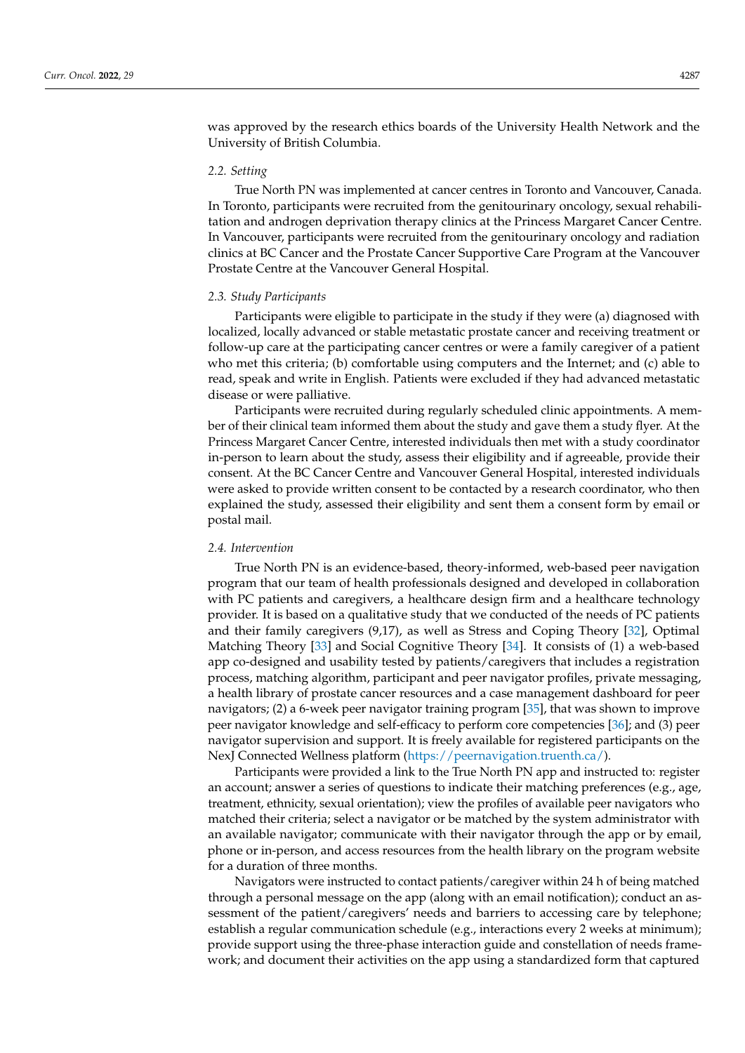was approved by the research ethics boards of the University Health Network and the University of British Columbia.

## *2.2. Setting*

True North PN was implemented at cancer centres in Toronto and Vancouver, Canada. In Toronto, participants were recruited from the genitourinary oncology, sexual rehabilitation and androgen deprivation therapy clinics at the Princess Margaret Cancer Centre. In Vancouver, participants were recruited from the genitourinary oncology and radiation clinics at BC Cancer and the Prostate Cancer Supportive Care Program at the Vancouver Prostate Centre at the Vancouver General Hospital.

### *2.3. Study Participants*

Participants were eligible to participate in the study if they were (a) diagnosed with localized, locally advanced or stable metastatic prostate cancer and receiving treatment or follow-up care at the participating cancer centres or were a family caregiver of a patient who met this criteria; (b) comfortable using computers and the Internet; and (c) able to read, speak and write in English. Patients were excluded if they had advanced metastatic disease or were palliative.

Participants were recruited during regularly scheduled clinic appointments. A member of their clinical team informed them about the study and gave them a study flyer. At the Princess Margaret Cancer Centre, interested individuals then met with a study coordinator in-person to learn about the study, assess their eligibility and if agreeable, provide their consent. At the BC Cancer Centre and Vancouver General Hospital, interested individuals were asked to provide written consent to be contacted by a research coordinator, who then explained the study, assessed their eligibility and sent them a consent form by email or postal mail.

## *2.4. Intervention*

True North PN is an evidence-based, theory-informed, web-based peer navigation program that our team of health professionals designed and developed in collaboration with PC patients and caregivers, a healthcare design firm and a healthcare technology provider. It is based on a qualitative study that we conducted of the needs of PC patients and their family caregivers (9,17), as well as Stress and Coping Theory [\[32\]](#page-13-16), Optimal Matching Theory [\[33\]](#page-13-17) and Social Cognitive Theory [\[34\]](#page-13-18). It consists of (1) a web-based app co-designed and usability tested by patients/caregivers that includes a registration process, matching algorithm, participant and peer navigator profiles, private messaging, a health library of prostate cancer resources and a case management dashboard for peer navigators; (2) a 6-week peer navigator training program [\[35\]](#page-13-19), that was shown to improve peer navigator knowledge and self-efficacy to perform core competencies [\[36\]](#page-13-20); and (3) peer navigator supervision and support. It is freely available for registered participants on the NexJ Connected Wellness platform [\(https://peernavigation.truenth.ca/\)](https://peernavigation.truenth.ca/).

Participants were provided a link to the True North PN app and instructed to: register an account; answer a series of questions to indicate their matching preferences (e.g., age, treatment, ethnicity, sexual orientation); view the profiles of available peer navigators who matched their criteria; select a navigator or be matched by the system administrator with an available navigator; communicate with their navigator through the app or by email, phone or in-person, and access resources from the health library on the program website for a duration of three months.

Navigators were instructed to contact patients/caregiver within 24 h of being matched through a personal message on the app (along with an email notification); conduct an assessment of the patient/caregivers' needs and barriers to accessing care by telephone; establish a regular communication schedule (e.g., interactions every 2 weeks at minimum); provide support using the three-phase interaction guide and constellation of needs framework; and document their activities on the app using a standardized form that captured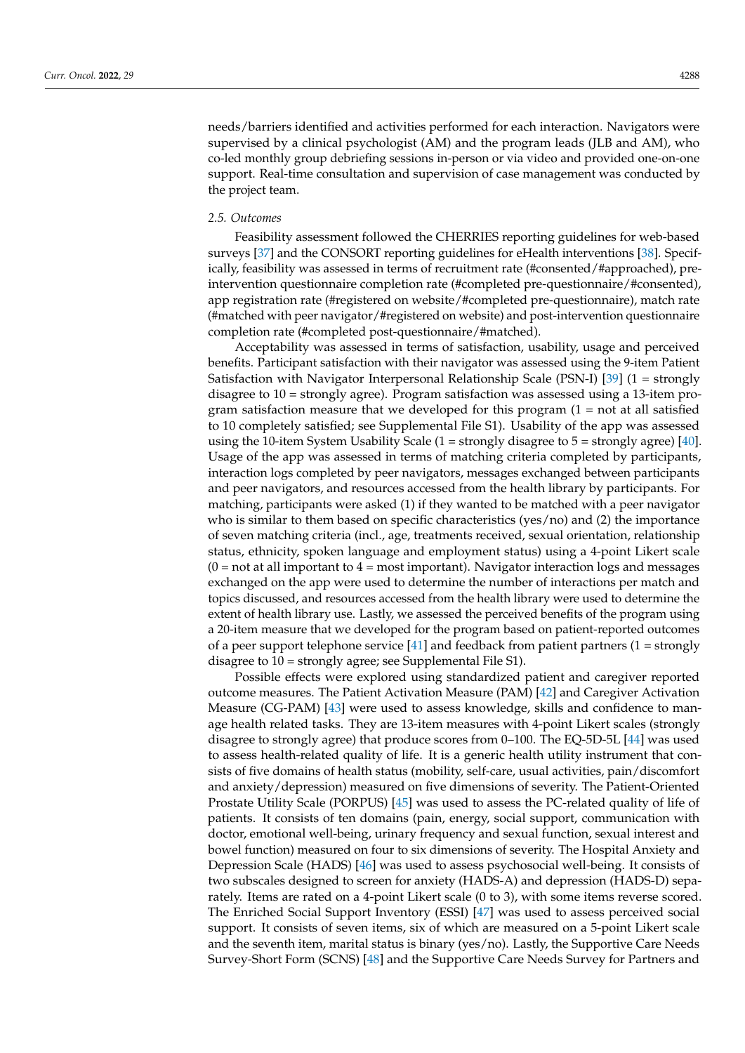needs/barriers identified and activities performed for each interaction. Navigators were supervised by a clinical psychologist (AM) and the program leads (JLB and AM), who co-led monthly group debriefing sessions in-person or via video and provided one-on-one support. Real-time consultation and supervision of case management was conducted by the project team.

## *2.5. Outcomes*

Feasibility assessment followed the CHERRIES reporting guidelines for web-based surveys [\[37\]](#page-13-21) and the CONSORT reporting guidelines for eHealth interventions [\[38\]](#page-13-22). Specifically, feasibility was assessed in terms of recruitment rate (#consented/#approached), preintervention questionnaire completion rate (#completed pre-questionnaire/#consented), app registration rate (#registered on website/#completed pre-questionnaire), match rate (#matched with peer navigator/#registered on website) and post-intervention questionnaire completion rate (#completed post-questionnaire/#matched).

Acceptability was assessed in terms of satisfaction, usability, usage and perceived benefits. Participant satisfaction with their navigator was assessed using the 9-item Patient Satisfaction with Navigator Interpersonal Relationship Scale (PSN-I) [\[39\]](#page-13-23) (1 = strongly disagree to 10 = strongly agree). Program satisfaction was assessed using a 13-item program satisfaction measure that we developed for this program  $(1 = not at all satisfied)$ to 10 completely satisfied; see Supplemental File S1). Usability of the app was assessed using the 10-item System Usability Scale (1 = strongly disagree to 5 = strongly agree) [\[40\]](#page-13-24). Usage of the app was assessed in terms of matching criteria completed by participants, interaction logs completed by peer navigators, messages exchanged between participants and peer navigators, and resources accessed from the health library by participants. For matching, participants were asked (1) if they wanted to be matched with a peer navigator who is similar to them based on specific characteristics (yes/no) and (2) the importance of seven matching criteria (incl., age, treatments received, sexual orientation, relationship status, ethnicity, spoken language and employment status) using a 4-point Likert scale  $(0 = not at all important to 4 = most important).$  Navigator interaction logs and messages exchanged on the app were used to determine the number of interactions per match and topics discussed, and resources accessed from the health library were used to determine the extent of health library use. Lastly, we assessed the perceived benefits of the program using a 20-item measure that we developed for the program based on patient-reported outcomes of a peer support telephone service  $[41]$  and feedback from patient partners  $(1 =$  strongly disagree to 10 = strongly agree; see Supplemental File S1).

Possible effects were explored using standardized patient and caregiver reported outcome measures. The Patient Activation Measure (PAM) [\[42\]](#page-13-26) and Caregiver Activation Measure (CG-PAM) [\[43\]](#page-13-27) were used to assess knowledge, skills and confidence to manage health related tasks. They are 13-item measures with 4-point Likert scales (strongly disagree to strongly agree) that produce scores from 0–100. The EQ-5D-5L [\[44\]](#page-14-0) was used to assess health-related quality of life. It is a generic health utility instrument that consists of five domains of health status (mobility, self-care, usual activities, pain/discomfort and anxiety/depression) measured on five dimensions of severity. The Patient-Oriented Prostate Utility Scale (PORPUS) [\[45\]](#page-14-1) was used to assess the PC-related quality of life of patients. It consists of ten domains (pain, energy, social support, communication with doctor, emotional well-being, urinary frequency and sexual function, sexual interest and bowel function) measured on four to six dimensions of severity. The Hospital Anxiety and Depression Scale (HADS) [\[46\]](#page-14-2) was used to assess psychosocial well-being. It consists of two subscales designed to screen for anxiety (HADS-A) and depression (HADS-D) separately. Items are rated on a 4-point Likert scale (0 to 3), with some items reverse scored. The Enriched Social Support Inventory (ESSI) [\[47\]](#page-14-3) was used to assess perceived social support. It consists of seven items, six of which are measured on a 5-point Likert scale and the seventh item, marital status is binary (yes/no). Lastly, the Supportive Care Needs Survey-Short Form (SCNS) [\[48\]](#page-14-4) and the Supportive Care Needs Survey for Partners and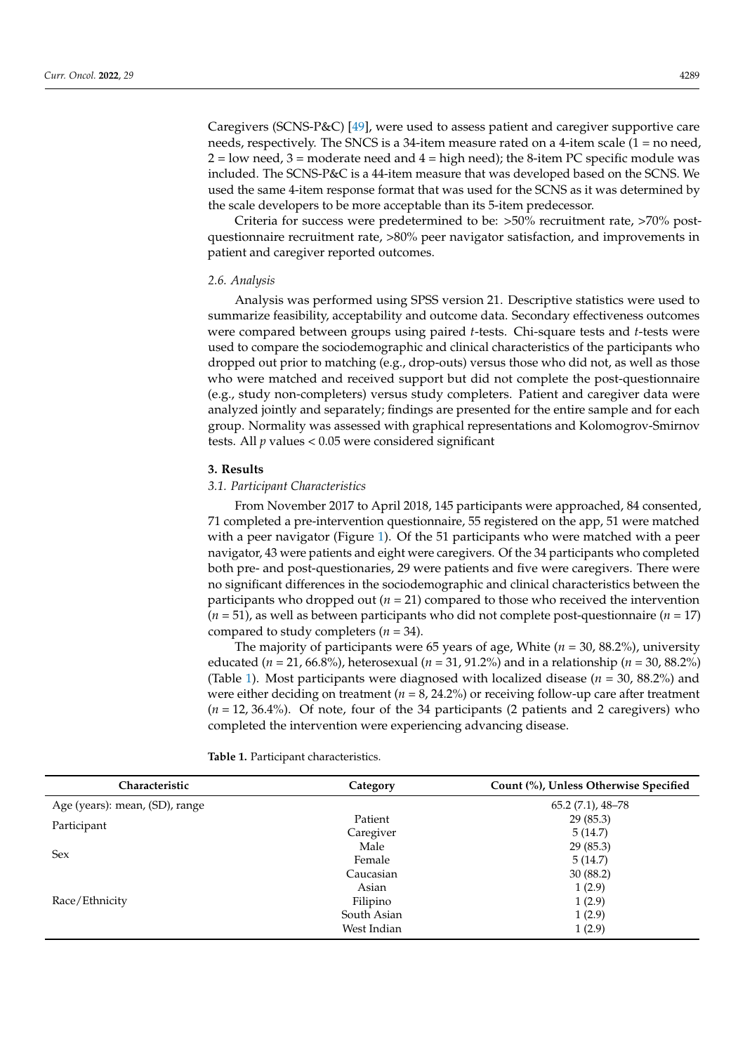Caregivers (SCNS-P&C) [\[49\]](#page-14-5), were used to assess patient and caregiver supportive care needs, respectively. The SNCS is a 34-item measure rated on a 4-item scale (1 = no need,  $2 =$ low need,  $3 =$ moderate need and  $4 =$ high need); the 8-item PC specific module was included. The SCNS-P&C is a 44-item measure that was developed based on the SCNS. We used the same 4-item response format that was used for the SCNS as it was determined by the scale developers to be more acceptable than its 5-item predecessor.

Criteria for success were predetermined to be: >50% recruitment rate, >70% postquestionnaire recruitment rate, >80% peer navigator satisfaction, and improvements in patient and caregiver reported outcomes.

### *2.6. Analysis*

Analysis was performed using SPSS version 21. Descriptive statistics were used to summarize feasibility, acceptability and outcome data. Secondary effectiveness outcomes were compared between groups using paired *t*-tests. Chi-square tests and *t*-tests were used to compare the sociodemographic and clinical characteristics of the participants who dropped out prior to matching (e.g., drop-outs) versus those who did not, as well as those who were matched and received support but did not complete the post-questionnaire (e.g., study non-completers) versus study completers. Patient and caregiver data were analyzed jointly and separately; findings are presented for the entire sample and for each group. Normality was assessed with graphical representations and Kolomogrov-Smirnov tests. All *p* values < 0.05 were considered significant

## **3. Results**

### *3.1. Participant Characteristics*

From November 2017 to April 2018, 145 participants were approached, 84 consented, 71 completed a pre-intervention questionnaire, 55 registered on the app, 51 were matched with a peer navigator (Figure [1\)](#page-5-0). Of the 51 participants who were matched with a peer navigator, 43 were patients and eight were caregivers. Of the 34 participants who completed both pre- and post-questionaries, 29 were patients and five were caregivers. There were no significant differences in the sociodemographic and clinical characteristics between the participants who dropped out (*n* = 21) compared to those who received the intervention  $(n = 51)$ , as well as between participants who did not complete post-questionnaire  $(n = 17)$ compared to study completers (*n* = 34).

The majority of participants were 65 years of age, White (*n* = 30, 88.2%), university educated (*n* = 21, 66.8%), heterosexual (*n* = 31, 91.2%) and in a relationship (*n* = 30, 88.2%) (Table [1\)](#page-5-1). Most participants were diagnosed with localized disease (*n* = 30, 88.2%) and were either deciding on treatment ( $n = 8, 24.2\%$ ) or receiving follow-up care after treatment (*n* = 12, 36.4%). Of note, four of the 34 participants (2 patients and 2 caregivers) who completed the intervention were experiencing advancing disease.

| Characteristic                 | Count (%), Unless Otherwise Specified<br>Category |                     |  |
|--------------------------------|---------------------------------------------------|---------------------|--|
| Age (years): mean, (SD), range |                                                   | $65.2(7.1)$ , 48-78 |  |
| Participant                    | Patient                                           | 29(85.3)            |  |
|                                | Caregiver                                         | 5(14.7)             |  |
| <b>Sex</b>                     | Male                                              | 29(85.3)            |  |
|                                | Female                                            | 5(14.7)             |  |
| Race/Ethnicity                 | Caucasian                                         | 30(88.2)            |  |
|                                | Asian                                             | 1(2.9)              |  |
|                                | Filipino                                          | 1(2.9)              |  |
|                                | South Asian                                       | 1(2.9)              |  |
|                                | West Indian                                       | 1(2.9)              |  |

**Table 1.** Participant characteristics.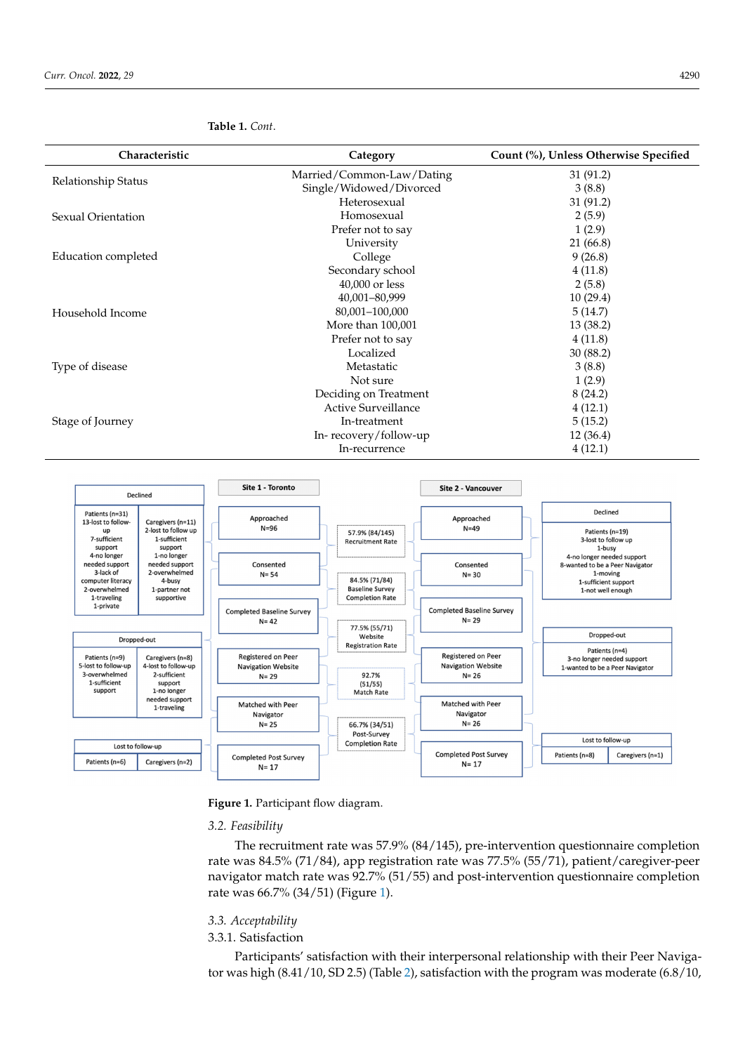| Characteristic      | Category                  | Count (%), Unless Otherwise Specified |
|---------------------|---------------------------|---------------------------------------|
| Relationship Status | Married/Common-Law/Dating | 31 (91.2)                             |
|                     | Single/Widowed/Divorced   | 3(8.8)                                |
|                     | Heterosexual              | 31(91.2)                              |
| Sexual Orientation  | Homosexual                | 2(5.9)                                |
|                     | Prefer not to say         | 1(2.9)                                |
|                     | University                | 21 (66.8)                             |
| Education completed | College                   | 9(26.8)                               |
|                     | Secondary school          | 4(11.8)                               |
|                     | 40,000 or less            | 2(5.8)                                |
|                     | 40,001-80,999             | 10(29.4)                              |
| Household Income    | 80,001-100,000            | 5(14.7)                               |
|                     | More than 100,001         | 13 (38.2)                             |
|                     | Prefer not to say         | 4(11.8)                               |
|                     | Localized                 | 30(88.2)                              |
| Type of disease     | Metastatic                | 3(8.8)                                |
|                     | Not sure                  | 1(2.9)                                |
|                     | Deciding on Treatment     | 8(24.2)                               |
|                     | Active Surveillance       | 4(12.1)                               |
| Stage of Journey    | In-treatment              | 5(15.2)                               |
|                     | In-recovery/follow-up     | 12 (36.4)                             |
|                     | In-recurrence             | 4(12.1)                               |

# <span id="page-5-1"></span>**Table 1.** *Cont*.

<span id="page-5-0"></span>

**Figure 1.** Participant flow diagram.

# **Figure 1.** Participant flow diagram. *3.2. Feasibility*

The recruitment rate was 57.9% (84/145), pre-intervention questionnaire completion navigator match rate was 92.7% (51/55) and post-intervention questionnaire completion  $\frac{6}{1}$  rate was 66.7% (34/5[1\)](#page-5-0) (Figure 1). rate was 84.5% (71/84), app registration rate was 77.5% (55/71), patient/caregiver-peer

# $\frac{22}{8}$  (85.3) (85.3) (85.3) *3.3. Acceptability*

### 3.3.1. Satisfaction 3.3.1. Satisfaction

Participants' satisfaction with their interpersonal relationship with their Peer Navigator was high  $(8.41/10,$  SD 2.5) (Table 2), satisfaction with the program was moderate (6.8/10,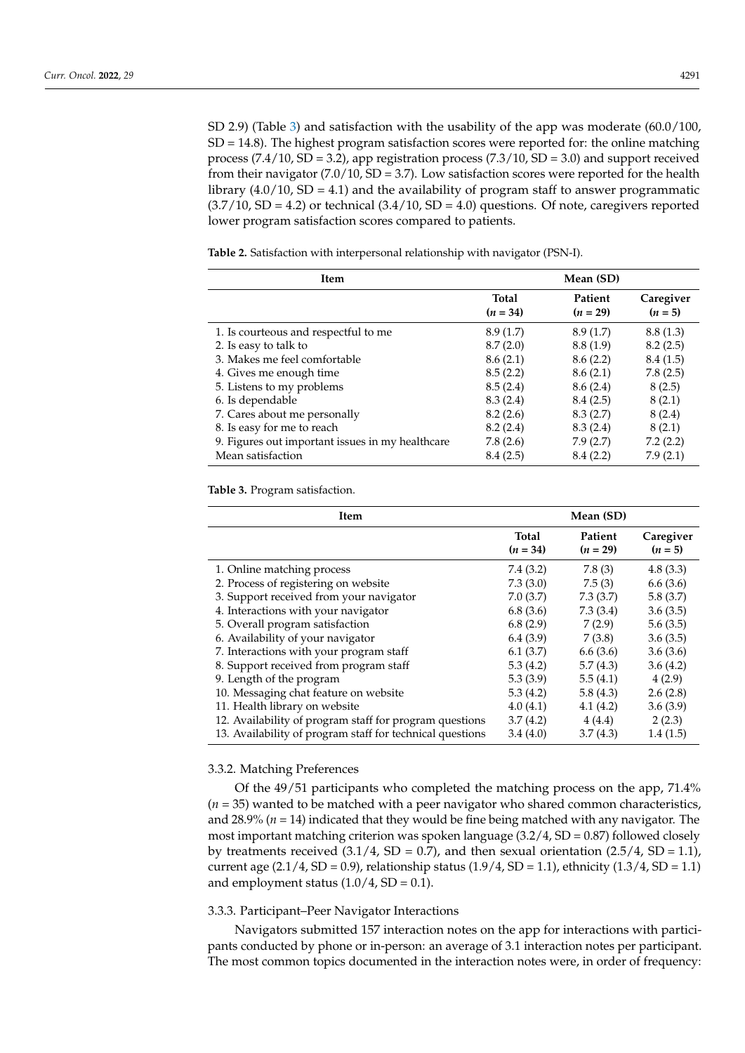SD 2.9) (Table [3\)](#page-6-1) and satisfaction with the usability of the app was moderate (60.0/100,  $SD = 14.8$ ). The highest program satisfaction scores were reported for: the online matching process  $(7.4/10, SD = 3.2)$ , app registration process  $(7.3/10, SD = 3.0)$  and support received from their navigator  $(7.0/10, SD = 3.7)$ . Low satisfaction scores were reported for the health library  $(4.0/10, SD = 4.1)$  and the availability of program staff to answer programmatic  $(3.7/10, SD = 4.2)$  or technical  $(3.4/10, SD = 4.0)$  questions. Of note, caregivers reported lower program satisfaction scores compared to patients.

<span id="page-6-0"></span>**Table 2.** Satisfaction with interpersonal relationship with navigator (PSN-I).

| Item                                             |                            | Mean (SD)             |                        |
|--------------------------------------------------|----------------------------|-----------------------|------------------------|
|                                                  | <b>Total</b><br>$(n = 34)$ | Patient<br>$(n = 29)$ | Caregiver<br>$(n = 5)$ |
| 1. Is courteous and respectful to me             | 8.9(1.7)                   | 8.9(1.7)              | 8.8(1.3)               |
| 2. Is easy to talk to                            | 8.7(2.0)                   | 8.8(1.9)              | 8.2(2.5)               |
| 3. Makes me feel comfortable                     | 8.6(2.1)                   | 8.6(2.2)              | 8.4(1.5)               |
| 4. Gives me enough time                          | 8.5(2.2)                   | 8.6(2.1)              | 7.8(2.5)               |
| 5. Listens to my problems                        | 8.5(2.4)                   | 8.6(2.4)              | 8(2.5)                 |
| 6. Is dependable                                 | 8.3(2.4)                   | 8.4(2.5)              | 8(2.1)                 |
| 7. Cares about me personally                     | 8.2(2.6)                   | 8.3(2.7)              | 8(2.4)                 |
| 8. Is easy for me to reach                       | 8.2(2.4)                   | 8.3(2.4)              | 8(2.1)                 |
| 9. Figures out important issues in my healthcare | 7.8(2.6)                   | 7.9(2.7)              | 7.2(2.2)               |
| Mean satisfaction                                | 8.4(2.5)                   | 8.4(2.2)              | 7.9(2.1)               |

<span id="page-6-1"></span>**Table 3.** Program satisfaction.

| Item                                                      |                     | Mean (SD)             |                        |
|-----------------------------------------------------------|---------------------|-----------------------|------------------------|
|                                                           | Total<br>$(n = 34)$ | Patient<br>$(n = 29)$ | Caregiver<br>$(n = 5)$ |
| 1. Online matching process                                | 7.4(3.2)            | 7.8(3)                | 4.8(3.3)               |
| 2. Process of registering on website                      | 7.3(3.0)            | 7.5(3)                | 6.6(3.6)               |
| 3. Support received from your navigator                   | 7.0(3.7)            | 7.3(3.7)              | 5.8(3.7)               |
| 4. Interactions with your navigator                       | 6.8(3.6)            | 7.3(3.4)              | 3.6(3.5)               |
| 5. Overall program satisfaction                           | 6.8(2.9)            | 7(2.9)                | 5.6(3.5)               |
| 6. Availability of your navigator                         | 6.4(3.9)            | 7(3.8)                | 3.6(3.5)               |
| 7. Interactions with your program staff                   | 6.1(3.7)            | 6.6(3.6)              | 3.6(3.6)               |
| 8. Support received from program staff                    | 5.3(4.2)            | 5.7(4.3)              | 3.6(4.2)               |
| 9. Length of the program                                  | 5.3(3.9)            | 5.5(4.1)              | 4(2.9)                 |
| 10. Messaging chat feature on website                     | 5.3(4.2)            | 5.8(4.3)              | 2.6(2.8)               |
| 11. Health library on website                             | 4.0(4.1)            | 4.1(4.2)              | 3.6(3.9)               |
| 12. Availability of program staff for program questions   | 3.7(4.2)            | 4(4.4)                | 2(2.3)                 |
| 13. Availability of program staff for technical questions | 3.4(4.0)            | 3.7(4.3)              | 1.4(1.5)               |

## 3.3.2. Matching Preferences

Of the 49/51 participants who completed the matching process on the app, 71.4% (*n* = 35) wanted to be matched with a peer navigator who shared common characteristics, and 28.9% (*n* = 14) indicated that they would be fine being matched with any navigator. The most important matching criterion was spoken language  $(3.2/4, SD = 0.87)$  followed closely by treatments received  $(3.1/4, SD = 0.7)$ , and then sexual orientation  $(2.5/4, SD = 1.1)$ , current age  $(2.1/4, SD = 0.9)$ , relationship status  $(1.9/4, SD = 1.1)$ , ethnicity  $(1.3/4, SD = 1.1)$ and employment status  $(1.0/4, SD = 0.1)$ .

## 3.3.3. Participant–Peer Navigator Interactions

Navigators submitted 157 interaction notes on the app for interactions with participants conducted by phone or in-person: an average of 3.1 interaction notes per participant. The most common topics documented in the interaction notes were, in order of frequency: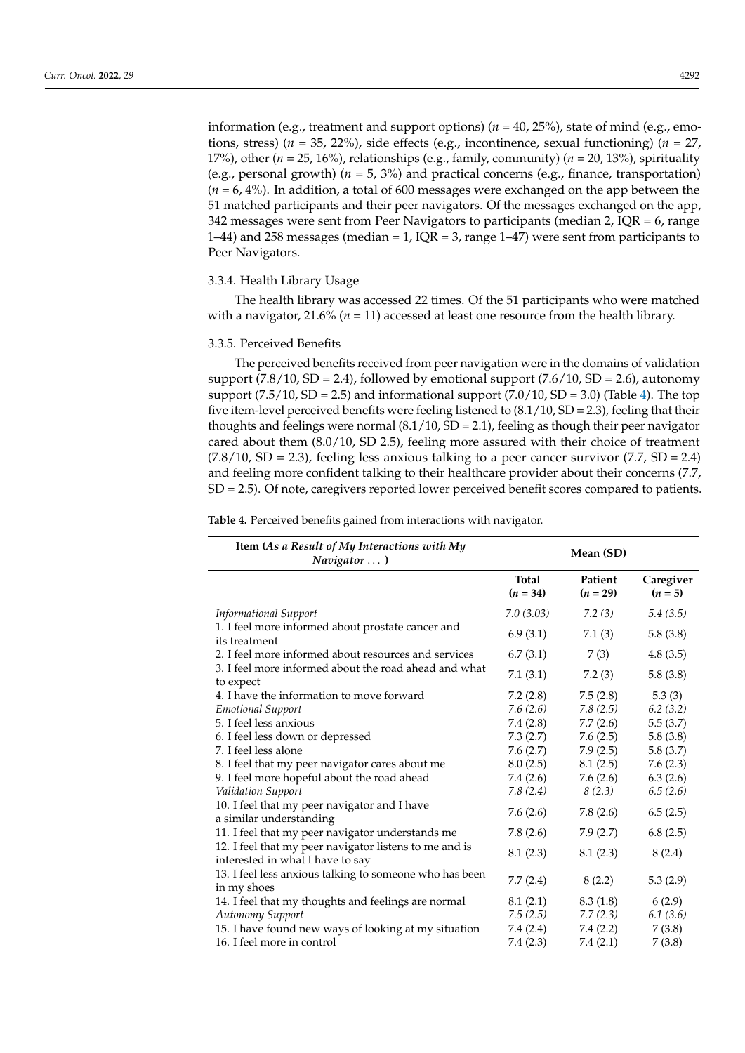information (e.g., treatment and support options) (*n* = 40, 25%), state of mind (e.g., emotions, stress) (*n* = 35, 22%), side effects (e.g., incontinence, sexual functioning) (*n* = 27, 17%), other (*n* = 25, 16%), relationships (e.g., family, community) (*n* = 20, 13%), spirituality (e.g., personal growth) (*n* = 5, 3%) and practical concerns (e.g., finance, transportation) (*n* = 6, 4%). In addition, a total of 600 messages were exchanged on the app between the 51 matched participants and their peer navigators. Of the messages exchanged on the app, 342 messages were sent from Peer Navigators to participants (median 2, IQR  $= 6$ , range 1–44) and 258 messages (median = 1, IQR = 3, range 1–47) were sent from participants to Peer Navigators.

## 3.3.4. Health Library Usage

The health library was accessed 22 times. Of the 51 participants who were matched with a navigator,  $21.6\%$  ( $n = 11$ ) accessed at least one resource from the health library.

### 3.3.5. Perceived Benefits

The perceived benefits received from peer navigation were in the domains of validation support (7.8/10, SD = 2.4), followed by emotional support (7.6/10, SD = 2.6), autonomy support  $(7.5/10, SD = 2.5)$  and informational support  $(7.0/10, SD = 3.0)$  (Table [4\)](#page-8-0). The top five item-level perceived benefits were feeling listened to  $(8.1/10, SD = 2.3)$ , feeling that their thoughts and feelings were normal  $(8.1/10, SD = 2.1)$ , feeling as though their peer navigator cared about them (8.0/10, SD 2.5), feeling more assured with their choice of treatment  $(7.8/10, SD = 2.3)$ , feeling less anxious talking to a peer cancer survivor  $(7.7, SD = 2.4)$ and feeling more confident talking to their healthcare provider about their concerns (7.7, SD = 2.5). Of note, caregivers reported lower perceived benefit scores compared to patients.

**Table 4.** Perceived benefits gained from interactions with navigator.

| Item (As a Result of My Interactions with My<br>Navigator  )                               |                     | Mean (SD)             |                        |
|--------------------------------------------------------------------------------------------|---------------------|-----------------------|------------------------|
|                                                                                            | Total<br>$(n = 34)$ | Patient<br>$(n = 29)$ | Caregiver<br>$(n = 5)$ |
| <b>Informational Support</b>                                                               | 7.0(3.03)           | 7.2(3)                | 5.4(3.5)               |
| 1. I feel more informed about prostate cancer and<br>its treatment                         | 6.9(3.1)            | 7.1(3)                | 5.8(3.8)               |
| 2. I feel more informed about resources and services                                       | 6.7(3.1)            | 7(3)                  | 4.8(3.5)               |
| 3. I feel more informed about the road ahead and what<br>to expect                         | 7.1(3.1)            | 7.2(3)                | 5.8(3.8)               |
| 4. I have the information to move forward                                                  | 7.2(2.8)            | 7.5(2.8)              | 5.3(3)                 |
| <b>Emotional Support</b>                                                                   | 7.6(2.6)            | 7.8(2.5)              | 6.2(3.2)               |
| 5. I feel less anxious                                                                     | 7.4(2.8)            | 7.7(2.6)              | 5.5(3.7)               |
| 6. I feel less down or depressed                                                           | 7.3(2.7)            | 7.6(2.5)              | 5.8(3.8)               |
| 7. I feel less alone                                                                       | 7.6(2.7)            | 7.9(2.5)              | 5.8(3.7)               |
| 8. I feel that my peer navigator cares about me                                            | 8.0(2.5)            | 8.1(2.5)              | 7.6(2.3)               |
| 9. I feel more hopeful about the road ahead                                                | 7.4 (2.6)           | 7.6(2.6)              | 6.3(2.6)               |
| Validation Support                                                                         | 7.8(2.4)            | 8(2.3)                | 6.5(2.6)               |
| 10. I feel that my peer navigator and I have<br>a similar understanding                    | 7.6(2.6)            | 7.8(2.6)              | 6.5(2.5)               |
| 11. I feel that my peer navigator understands me                                           | 7.8(2.6)            | 7.9(2.7)              | 6.8(2.5)               |
| 12. I feel that my peer navigator listens to me and is<br>interested in what I have to say | 8.1(2.3)            | 8.1(2.3)              | 8(2.4)                 |
| 13. I feel less anxious talking to someone who has been<br>in my shoes                     | 7.7(2.4)            | 8(2.2)                | 5.3(2.9)               |
| 14. I feel that my thoughts and feelings are normal                                        | 8.1(2.1)            | 8.3(1.8)              | 6(2.9)                 |
| Autonomy Support                                                                           | 7.5(2.5)            | 7.7(2.3)              | 6.1(3.6)               |
| 15. I have found new ways of looking at my situation                                       | 7.4(2.4)            | 7.4(2.2)              | 7(3.8)                 |
| 16. I feel more in control                                                                 | 7.4(2.3)            | 7.4(2.1)              | 7(3.8)                 |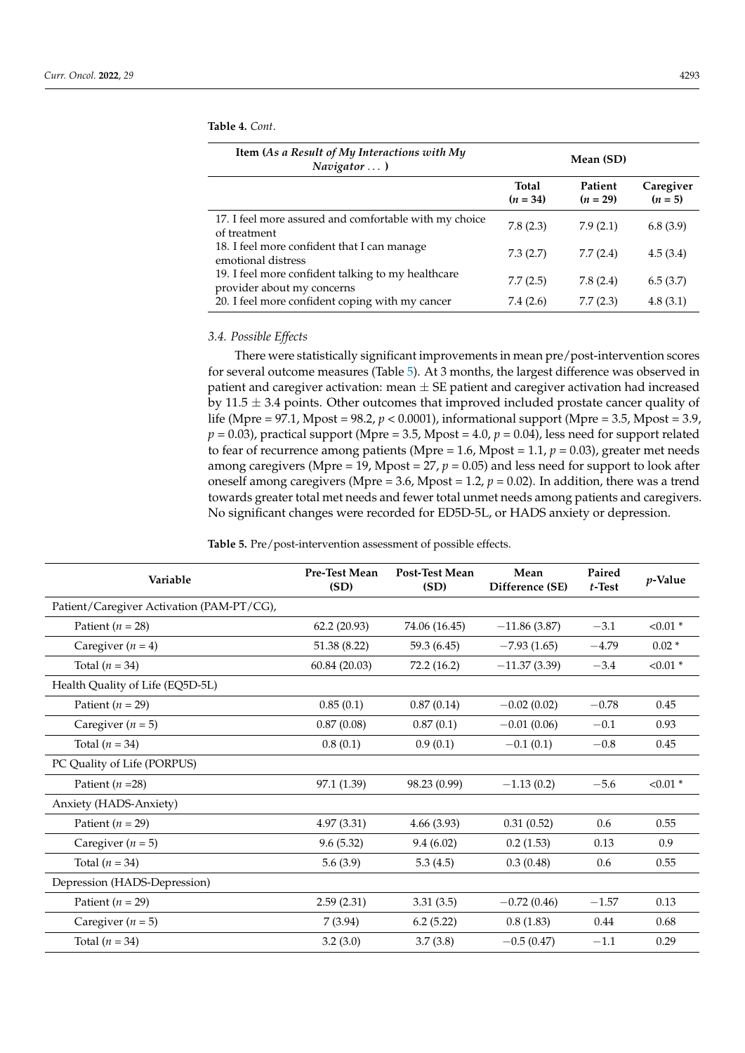| Item (As a Result of My Interactions with My<br>Navigator)                       |                            | Mean (SD)             |                        |
|----------------------------------------------------------------------------------|----------------------------|-----------------------|------------------------|
|                                                                                  | <b>Total</b><br>$(n = 34)$ | Patient<br>$(n = 29)$ | Caregiver<br>$(n = 5)$ |
| 17. I feel more assured and comfortable with my choice<br>of treatment           | 7.8(2.3)                   | 7.9(2.1)              | 6.8(3.9)               |
| 18. I feel more confident that I can manage<br>emotional distress                | 7.3(2.7)                   | 7.7(2.4)              | 4.5(3.4)               |
| 19. I feel more confident talking to my healthcare<br>provider about my concerns | 7.7(2.5)                   | 7.8(2.4)              | 6.5(3.7)               |

20. I feel more confident coping with my cancer 7.4 (2.6) 7.7 (2.3) 4.8 (3.1)

<span id="page-8-0"></span>**Table 4.** *Cont*.

### *3.4. Possible Effects*

There were statistically significant improvements in mean pre/post-intervention scores for several outcome measures (Table [5\)](#page-9-0). At 3 months, the largest difference was observed in patient and caregiver activation: mean  $\pm$  SE patient and caregiver activation had increased by  $11.5 \pm 3.4$  points. Other outcomes that improved included prostate cancer quality of life (Mpre = 97.1, Mpost = 98.2, *p* < 0.0001), informational support (Mpre = 3.5, Mpost = 3.9,  $p = 0.03$ ), practical support (Mpre = 3.5, Mpost = 4.0,  $p = 0.04$ ), less need for support related to fear of recurrence among patients (Mpre = 1.6, Mpost = 1.1, *p* = 0.03), greater met needs among caregivers (Mpre = 19, Mpost = 27, *p* = 0.05) and less need for support to look after oneself among caregivers (Mpre = 3.6, Mpost = 1.2,  $p = 0.02$ ). In addition, there was a trend towards greater total met needs and fewer total unmet needs among patients and caregivers. No significant changes were recorded for ED5D-5L, or HADS anxiety or depression.

**Table 5.** Pre/post-intervention assessment of possible effects.

| Variable                                  | <b>Pre-Test Mean</b><br>(SD) | <b>Post-Test Mean</b><br>(SD) | Mean<br>Difference (SE) | Paired<br>$t$ -Test | $p$ -Value |
|-------------------------------------------|------------------------------|-------------------------------|-------------------------|---------------------|------------|
| Patient/Caregiver Activation (PAM-PT/CG), |                              |                               |                         |                     |            |
| Patient ( $n = 28$ )                      | 62.2(20.93)                  | 74.06 (16.45)                 | $-11.86(3.87)$          | $-3.1$              | $< 0.01$ * |
| Caregiver $(n = 4)$                       | 51.38 (8.22)                 | 59.3 (6.45)                   | $-7.93(1.65)$           | $-4.79$             | $0.02*$    |
| Total $(n = 34)$                          | 60.84 (20.03)                | 72.2 (16.2)                   | $-11.37(3.39)$          | $-3.4$              | $< 0.01$ * |
| Health Quality of Life (EQ5D-5L)          |                              |                               |                         |                     |            |
| Patient ( $n = 29$ )                      | 0.85(0.1)                    | 0.87(0.14)                    | $-0.02(0.02)$           | $-0.78$             | 0.45       |
| Caregiver $(n = 5)$                       | 0.87(0.08)                   | 0.87(0.1)                     | $-0.01(0.06)$           | $-0.1$              | 0.93       |
| Total $(n = 34)$                          | 0.8(0.1)                     | 0.9(0.1)                      | $-0.1(0.1)$             | $-0.8$              | 0.45       |
| PC Quality of Life (PORPUS)               |                              |                               |                         |                     |            |
| Patient ( $n = 28$ )                      | 97.1 (1.39)                  | 98.23 (0.99)                  | $-1.13(0.2)$            | $-5.6$              | $< 0.01$ * |
| Anxiety (HADS-Anxiety)                    |                              |                               |                         |                     |            |
| Patient ( $n = 29$ )                      | 4.97(3.31)                   | 4.66(3.93)                    | 0.31(0.52)              | 0.6                 | 0.55       |
| Caregiver $(n = 5)$                       | 9.6(5.32)                    | 9.4(6.02)                     | 0.2(1.53)               | 0.13                | 0.9        |
| Total $(n = 34)$                          | 5.6(3.9)                     | 5.3(4.5)                      | 0.3(0.48)               | 0.6                 | 0.55       |
| Depression (HADS-Depression)              |                              |                               |                         |                     |            |
| Patient ( $n = 29$ )                      | 2.59(2.31)                   | 3.31(3.5)                     | $-0.72(0.46)$           | $-1.57$             | 0.13       |
| Caregiver $(n = 5)$                       | 7(3.94)                      | 6.2(5.22)                     | 0.8(1.83)               | 0.44                | 0.68       |
| Total $(n = 34)$                          | 3.2(3.0)                     | 3.7(3.8)                      | $-0.5(0.47)$            | $-1.1$              | 0.29       |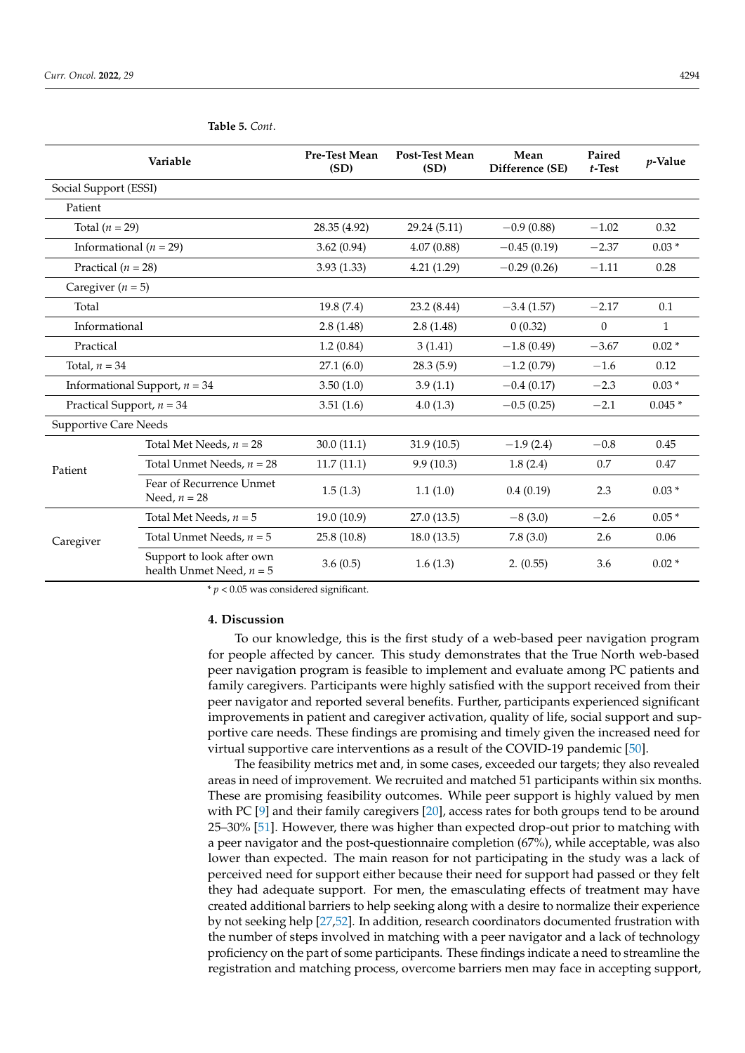| Variable                     |                                                         | Pre-Test Mean<br>(SD) | <b>Post-Test Mean</b><br>(SD) | Mean<br>Difference (SE) | Paired<br>$t$ -Test | $p$ -Value   |
|------------------------------|---------------------------------------------------------|-----------------------|-------------------------------|-------------------------|---------------------|--------------|
| Social Support (ESSI)        |                                                         |                       |                               |                         |                     |              |
| Patient                      |                                                         |                       |                               |                         |                     |              |
| Total ( $n = 29$ )           |                                                         | 28.35 (4.92)          | 29.24 (5.11)                  | $-0.9(0.88)$            | $-1.02$             | 0.32         |
| Informational ( $n = 29$ )   |                                                         | 3.62(0.94)            | 4.07(0.88)                    | $-0.45(0.19)$           | $-2.37$             | $0.03*$      |
| Practical ( $n = 28$ )       |                                                         | 3.93(1.33)            | 4.21(1.29)                    | $-0.29(0.26)$           | $-1.11$             | 0.28         |
| Caregiver ( $n = 5$ )        |                                                         |                       |                               |                         |                     |              |
| Total                        |                                                         | 19.8(7.4)             | 23.2 (8.44)                   | $-3.4(1.57)$            | $-2.17$             | 0.1          |
| Informational                |                                                         | 2.8(1.48)             | 2.8(1.48)                     | 0(0.32)                 | $\theta$            | $\mathbf{1}$ |
| Practical                    |                                                         | 1.2(0.84)             | 3(1.41)                       | $-1.8(0.49)$            | $-3.67$             | $0.02*$      |
| Total, $n = 34$              |                                                         | 27.1(6.0)             | 28.3(5.9)                     | $-1.2(0.79)$            | $-1.6$              | 0.12         |
|                              | Informational Support, $n = 34$                         | 3.50(1.0)             | 3.9(1.1)                      | $-0.4(0.17)$            | $-2.3$              | $0.03*$      |
| Practical Support, $n = 34$  |                                                         | 3.51(1.6)             | 4.0(1.3)                      | $-0.5(0.25)$            | $-2.1$              | $0.045*$     |
| <b>Supportive Care Needs</b> |                                                         |                       |                               |                         |                     |              |
|                              | Total Met Needs, $n = 28$                               | 30.0(11.1)            | 31.9(10.5)                    | $-1.9(2.4)$             | $-0.8$              | 0.45         |
| Patient                      | Total Unmet Needs, $n = 28$                             | 11.7(11.1)            | 9.9(10.3)                     | 1.8(2.4)                | 0.7                 | 0.47         |
|                              | Fear of Recurrence Unmet<br>Need, $n = 28$              | 1.5(1.3)              | 1.1(1.0)                      | 0.4(0.19)               | 2.3                 | $0.03*$      |
| Caregiver                    | Total Met Needs, $n = 5$                                | 19.0 (10.9)           | 27.0(13.5)                    | $-8(3.0)$               | $-2.6$              | $0.05*$      |
|                              | Total Unmet Needs, $n = 5$                              | 25.8(10.8)            | 18.0(13.5)                    | 7.8(3.0)                | 2.6                 | 0.06         |
|                              | Support to look after own<br>health Unmet Need, $n = 5$ | 3.6(0.5)              | 1.6(1.3)                      | 2. (0.55)               | 3.6                 | $0.02*$      |

<span id="page-9-0"></span>**Table 5.** *Cont*.

\* *p* < 0.05 was considered significant.

#### **4. Discussion**

To our knowledge, this is the first study of a web-based peer navigation program for people affected by cancer. This study demonstrates that the True North web-based peer navigation program is feasible to implement and evaluate among PC patients and family caregivers. Participants were highly satisfied with the support received from their peer navigator and reported several benefits. Further, participants experienced significant improvements in patient and caregiver activation, quality of life, social support and supportive care needs. These findings are promising and timely given the increased need for virtual supportive care interventions as a result of the COVID-19 pandemic [\[50\]](#page-14-6).

The feasibility metrics met and, in some cases, exceeded our targets; they also revealed areas in need of improvement. We recruited and matched 51 participants within six months. These are promising feasibility outcomes. While peer support is highly valued by men with PC [\[9\]](#page-12-7) and their family caregivers [\[20\]](#page-13-4), access rates for both groups tend to be around 25–30% [\[51\]](#page-14-7). However, there was higher than expected drop-out prior to matching with a peer navigator and the post-questionnaire completion (67%), while acceptable, was also lower than expected. The main reason for not participating in the study was a lack of perceived need for support either because their need for support had passed or they felt they had adequate support. For men, the emasculating effects of treatment may have created additional barriers to help seeking along with a desire to normalize their experience by not seeking help [\[27,](#page-13-11)[52\]](#page-14-8). In addition, research coordinators documented frustration with the number of steps involved in matching with a peer navigator and a lack of technology proficiency on the part of some participants. These findings indicate a need to streamline the registration and matching process, overcome barriers men may face in accepting support,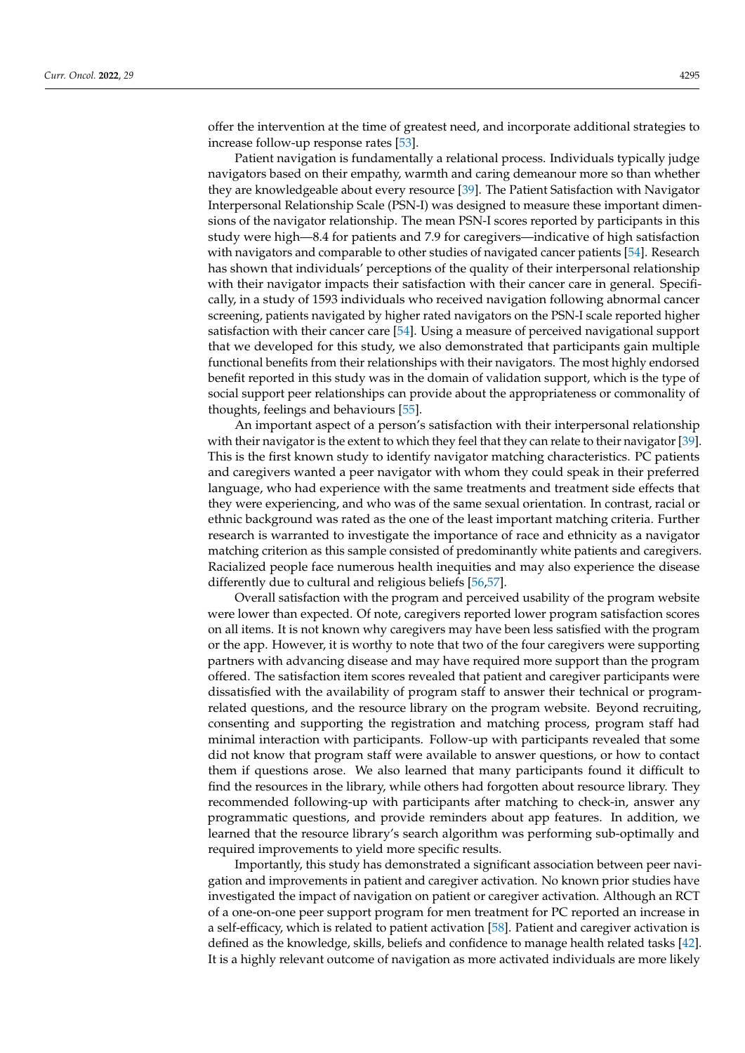offer the intervention at the time of greatest need, and incorporate additional strategies to increase follow-up response rates [\[53\]](#page-14-9).

Patient navigation is fundamentally a relational process. Individuals typically judge navigators based on their empathy, warmth and caring demeanour more so than whether they are knowledgeable about every resource [\[39\]](#page-13-23). The Patient Satisfaction with Navigator Interpersonal Relationship Scale (PSN-I) was designed to measure these important dimensions of the navigator relationship. The mean PSN-I scores reported by participants in this study were high—8.4 for patients and 7.9 for caregivers—indicative of high satisfaction with navigators and comparable to other studies of navigated cancer patients [\[54\]](#page-14-10). Research has shown that individuals' perceptions of the quality of their interpersonal relationship with their navigator impacts their satisfaction with their cancer care in general. Specifically, in a study of 1593 individuals who received navigation following abnormal cancer screening, patients navigated by higher rated navigators on the PSN-I scale reported higher satisfaction with their cancer care [\[54\]](#page-14-10). Using a measure of perceived navigational support that we developed for this study, we also demonstrated that participants gain multiple functional benefits from their relationships with their navigators. The most highly endorsed benefit reported in this study was in the domain of validation support, which is the type of social support peer relationships can provide about the appropriateness or commonality of thoughts, feelings and behaviours [\[55\]](#page-14-11).

An important aspect of a person's satisfaction with their interpersonal relationship with their navigator is the extent to which they feel that they can relate to their navigator [\[39\]](#page-13-23). This is the first known study to identify navigator matching characteristics. PC patients and caregivers wanted a peer navigator with whom they could speak in their preferred language, who had experience with the same treatments and treatment side effects that they were experiencing, and who was of the same sexual orientation. In contrast, racial or ethnic background was rated as the one of the least important matching criteria. Further research is warranted to investigate the importance of race and ethnicity as a navigator matching criterion as this sample consisted of predominantly white patients and caregivers. Racialized people face numerous health inequities and may also experience the disease differently due to cultural and religious beliefs [\[56](#page-14-12)[,57\]](#page-14-13).

Overall satisfaction with the program and perceived usability of the program website were lower than expected. Of note, caregivers reported lower program satisfaction scores on all items. It is not known why caregivers may have been less satisfied with the program or the app. However, it is worthy to note that two of the four caregivers were supporting partners with advancing disease and may have required more support than the program offered. The satisfaction item scores revealed that patient and caregiver participants were dissatisfied with the availability of program staff to answer their technical or programrelated questions, and the resource library on the program website. Beyond recruiting, consenting and supporting the registration and matching process, program staff had minimal interaction with participants. Follow-up with participants revealed that some did not know that program staff were available to answer questions, or how to contact them if questions arose. We also learned that many participants found it difficult to find the resources in the library, while others had forgotten about resource library. They recommended following-up with participants after matching to check-in, answer any programmatic questions, and provide reminders about app features. In addition, we learned that the resource library's search algorithm was performing sub-optimally and required improvements to yield more specific results.

Importantly, this study has demonstrated a significant association between peer navigation and improvements in patient and caregiver activation. No known prior studies have investigated the impact of navigation on patient or caregiver activation. Although an RCT of a one-on-one peer support program for men treatment for PC reported an increase in a self-efficacy, which is related to patient activation [\[58\]](#page-14-14). Patient and caregiver activation is defined as the knowledge, skills, beliefs and confidence to manage health related tasks [\[42\]](#page-13-26). It is a highly relevant outcome of navigation as more activated individuals are more likely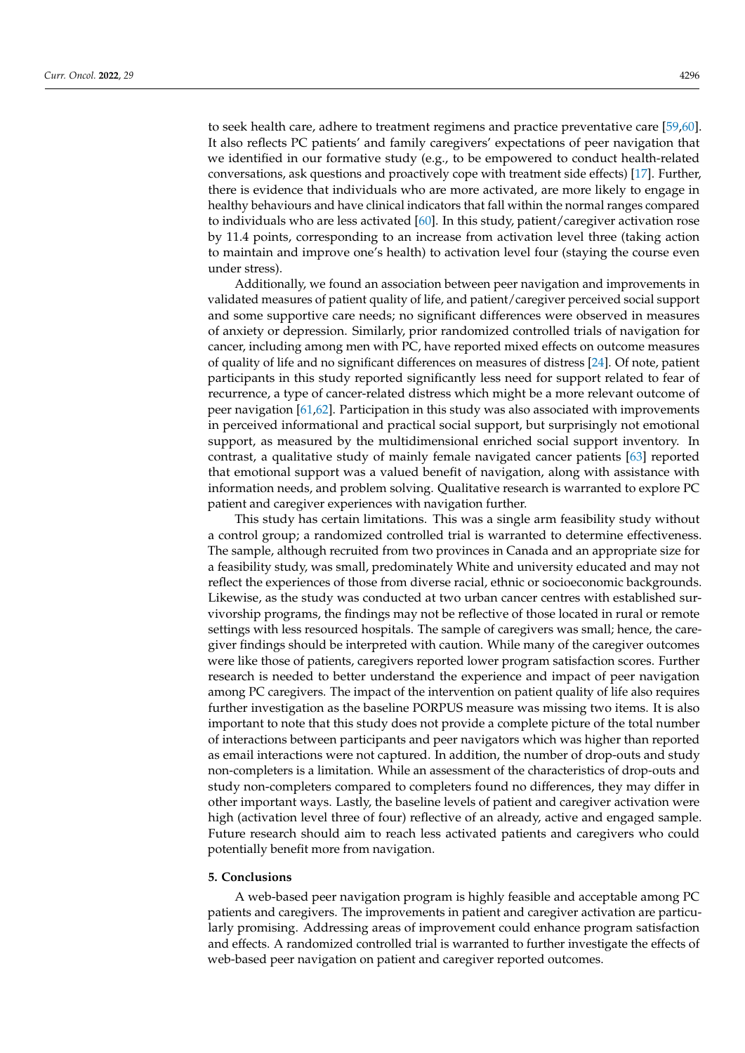to seek health care, adhere to treatment regimens and practice preventative care [\[59,](#page-14-15)[60\]](#page-14-16). It also reflects PC patients' and family caregivers' expectations of peer navigation that we identified in our formative study (e.g., to be empowered to conduct health-related conversations, ask questions and proactively cope with treatment side effects) [\[17\]](#page-13-1). Further, there is evidence that individuals who are more activated, are more likely to engage in healthy behaviours and have clinical indicators that fall within the normal ranges compared to individuals who are less activated [\[60\]](#page-14-16). In this study, patient/caregiver activation rose by 11.4 points, corresponding to an increase from activation level three (taking action to maintain and improve one's health) to activation level four (staying the course even under stress).

Additionally, we found an association between peer navigation and improvements in validated measures of patient quality of life, and patient/caregiver perceived social support and some supportive care needs; no significant differences were observed in measures of anxiety or depression. Similarly, prior randomized controlled trials of navigation for cancer, including among men with PC, have reported mixed effects on outcome measures of quality of life and no significant differences on measures of distress [\[24\]](#page-13-9). Of note, patient participants in this study reported significantly less need for support related to fear of recurrence, a type of cancer-related distress which might be a more relevant outcome of peer navigation [\[61,](#page-14-17)[62\]](#page-14-18). Participation in this study was also associated with improvements in perceived informational and practical social support, but surprisingly not emotional support, as measured by the multidimensional enriched social support inventory. In contrast, a qualitative study of mainly female navigated cancer patients [\[63\]](#page-14-19) reported that emotional support was a valued benefit of navigation, along with assistance with information needs, and problem solving. Qualitative research is warranted to explore PC patient and caregiver experiences with navigation further.

This study has certain limitations. This was a single arm feasibility study without a control group; a randomized controlled trial is warranted to determine effectiveness. The sample, although recruited from two provinces in Canada and an appropriate size for a feasibility study, was small, predominately White and university educated and may not reflect the experiences of those from diverse racial, ethnic or socioeconomic backgrounds. Likewise, as the study was conducted at two urban cancer centres with established survivorship programs, the findings may not be reflective of those located in rural or remote settings with less resourced hospitals. The sample of caregivers was small; hence, the caregiver findings should be interpreted with caution. While many of the caregiver outcomes were like those of patients, caregivers reported lower program satisfaction scores. Further research is needed to better understand the experience and impact of peer navigation among PC caregivers. The impact of the intervention on patient quality of life also requires further investigation as the baseline PORPUS measure was missing two items. It is also important to note that this study does not provide a complete picture of the total number of interactions between participants and peer navigators which was higher than reported as email interactions were not captured. In addition, the number of drop-outs and study non-completers is a limitation. While an assessment of the characteristics of drop-outs and study non-completers compared to completers found no differences, they may differ in other important ways. Lastly, the baseline levels of patient and caregiver activation were high (activation level three of four) reflective of an already, active and engaged sample. Future research should aim to reach less activated patients and caregivers who could potentially benefit more from navigation.

### **5. Conclusions**

A web-based peer navigation program is highly feasible and acceptable among PC patients and caregivers. The improvements in patient and caregiver activation are particularly promising. Addressing areas of improvement could enhance program satisfaction and effects. A randomized controlled trial is warranted to further investigate the effects of web-based peer navigation on patient and caregiver reported outcomes.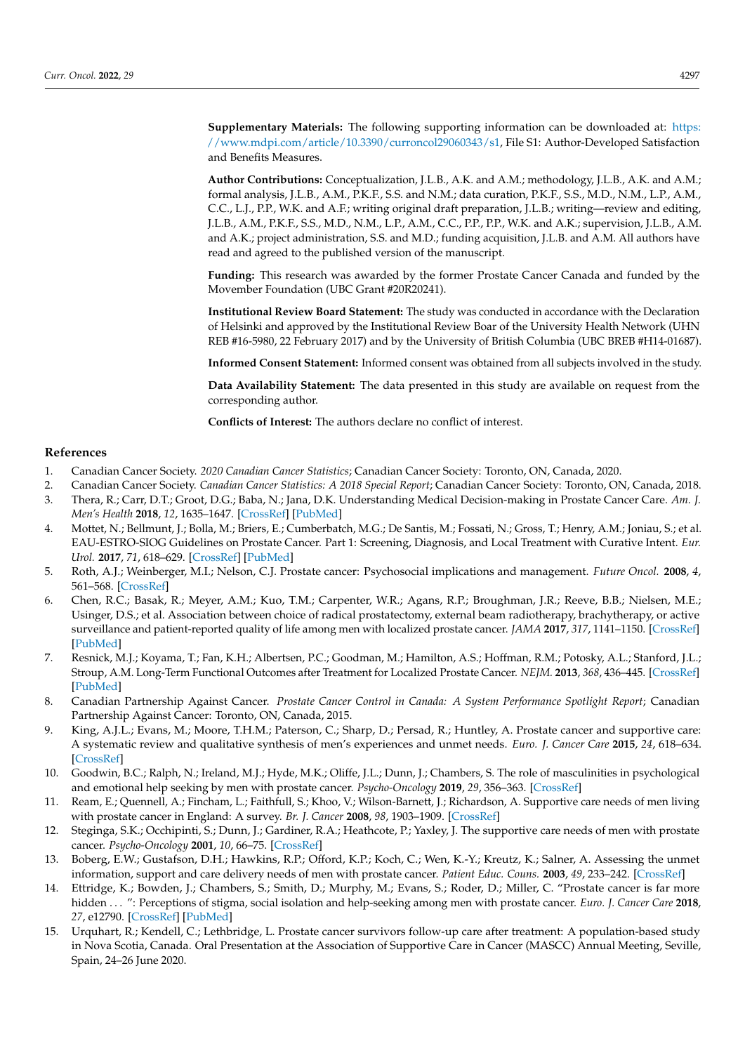**Supplementary Materials:** The following supporting information can be downloaded at: [https:](https://www.mdpi.com/article/10.3390/curroncol29060343/s1) [//www.mdpi.com/article/10.3390/curroncol29060343/s1,](https://www.mdpi.com/article/10.3390/curroncol29060343/s1) File S1: Author-Developed Satisfaction and Benefits Measures.

**Author Contributions:** Conceptualization, J.L.B., A.K. and A.M.; methodology, J.L.B., A.K. and A.M.; formal analysis, J.L.B., A.M., P.K.F., S.S. and N.M.; data curation, P.K.F., S.S., M.D., N.M., L.P., A.M., C.C., L.J., P.P., W.K. and A.F.; writing original draft preparation, J.L.B.; writing—review and editing, J.L.B., A.M., P.K.F., S.S., M.D., N.M., L.P., A.M., C.C., P.P., P.P., W.K. and A.K.; supervision, J.L.B., A.M. and A.K.; project administration, S.S. and M.D.; funding acquisition, J.L.B. and A.M. All authors have read and agreed to the published version of the manuscript.

**Funding:** This research was awarded by the former Prostate Cancer Canada and funded by the Movember Foundation (UBC Grant #20R20241).

**Institutional Review Board Statement:** The study was conducted in accordance with the Declaration of Helsinki and approved by the Institutional Review Boar of the University Health Network (UHN REB #16-5980, 22 February 2017) and by the University of British Columbia (UBC BREB #H14-01687).

**Informed Consent Statement:** Informed consent was obtained from all subjects involved in the study.

**Data Availability Statement:** The data presented in this study are available on request from the corresponding author.

**Conflicts of Interest:** The authors declare no conflict of interest.

### **References**

- <span id="page-12-0"></span>1. Canadian Cancer Society. *2020 Canadian Cancer Statistics*; Canadian Cancer Society: Toronto, ON, Canada, 2020.
- <span id="page-12-1"></span>2. Canadian Cancer Society. *Canadian Cancer Statistics: A 2018 Special Report*; Canadian Cancer Society: Toronto, ON, Canada, 2018.
- <span id="page-12-2"></span>3. Thera, R.; Carr, D.T.; Groot, D.G.; Baba, N.; Jana, D.K. Understanding Medical Decision-making in Prostate Cancer Care. *Am. J. Men's Health* **2018**, *12*, 1635–1647. [\[CrossRef\]](http://doi.org/10.1177/1557988318780851) [\[PubMed\]](http://www.ncbi.nlm.nih.gov/pubmed/29877127)
- <span id="page-12-3"></span>4. Mottet, N.; Bellmunt, J.; Bolla, M.; Briers, E.; Cumberbatch, M.G.; De Santis, M.; Fossati, N.; Gross, T.; Henry, A.M.; Joniau, S.; et al. EAU-ESTRO-SIOG Guidelines on Prostate Cancer. Part 1: Screening, Diagnosis, and Local Treatment with Curative Intent. *Eur. Urol.* **2017**, *71*, 618–629. [\[CrossRef\]](http://doi.org/10.1016/j.eururo.2016.08.003) [\[PubMed\]](http://www.ncbi.nlm.nih.gov/pubmed/27568654)
- <span id="page-12-4"></span>5. Roth, A.J.; Weinberger, M.I.; Nelson, C.J. Prostate cancer: Psychosocial implications and management. *Future Oncol.* **2008**, *4*, 561–568. [\[CrossRef\]](http://doi.org/10.2217/14796694.4.4.561)
- 6. Chen, R.C.; Basak, R.; Meyer, A.M.; Kuo, T.M.; Carpenter, W.R.; Agans, R.P.; Broughman, J.R.; Reeve, B.B.; Nielsen, M.E.; Usinger, D.S.; et al. Association between choice of radical prostatectomy, external beam radiotherapy, brachytherapy, or active surveillance and patient-reported quality of life among men with localized prostate cancer. *JAMA* **2017**, *317*, 1141–1150. [\[CrossRef\]](http://doi.org/10.1001/jama.2017.1652) [\[PubMed\]](http://www.ncbi.nlm.nih.gov/pubmed/28324092)
- <span id="page-12-5"></span>7. Resnick, M.J.; Koyama, T.; Fan, K.H.; Albertsen, P.C.; Goodman, M.; Hamilton, A.S.; Hoffman, R.M.; Potosky, A.L.; Stanford, J.L.; Stroup, A.M. Long-Term Functional Outcomes after Treatment for Localized Prostate Cancer. *NEJM.* **2013**, *368*, 436–445. [\[CrossRef\]](http://doi.org/10.1056/NEJMoa1209978) [\[PubMed\]](http://www.ncbi.nlm.nih.gov/pubmed/23363497)
- <span id="page-12-6"></span>8. Canadian Partnership Against Cancer. *Prostate Cancer Control in Canada: A System Performance Spotlight Report*; Canadian Partnership Against Cancer: Toronto, ON, Canada, 2015.
- <span id="page-12-7"></span>9. King, A.J.L.; Evans, M.; Moore, T.H.M.; Paterson, C.; Sharp, D.; Persad, R.; Huntley, A. Prostate cancer and supportive care: A systematic review and qualitative synthesis of men's experiences and unmet needs. *Euro. J. Cancer Care* **2015**, *24*, 618–634. [\[CrossRef\]](http://doi.org/10.1111/ecc.12286)
- <span id="page-12-8"></span>10. Goodwin, B.C.; Ralph, N.; Ireland, M.J.; Hyde, M.K.; Oliffe, J.L.; Dunn, J.; Chambers, S. The role of masculinities in psychological and emotional help seeking by men with prostate cancer. *Psycho-Oncology* **2019**, *29*, 356–363. [\[CrossRef\]](http://doi.org/10.1002/pon.5264)
- <span id="page-12-9"></span>11. Ream, E.; Quennell, A.; Fincham, L.; Faithfull, S.; Khoo, V.; Wilson-Barnett, J.; Richardson, A. Supportive care needs of men living with prostate cancer in England: A survey. *Br. J. Cancer* **2008**, *98*, 1903–1909. [\[CrossRef\]](http://doi.org/10.1038/sj.bjc.6604406)
- 12. Steginga, S.K.; Occhipinti, S.; Dunn, J.; Gardiner, R.A.; Heathcote, P.; Yaxley, J. The supportive care needs of men with prostate cancer. *Psycho-Oncology* **2001**, *10*, 66–75. [\[CrossRef\]](http://doi.org/10.1002/1099-1611(200101/02)10:1<66::AID-PON493>3.0.CO;2-Z)
- 13. Boberg, E.W.; Gustafson, D.H.; Hawkins, R.P.; Offord, K.P.; Koch, C.; Wen, K.-Y.; Kreutz, K.; Salner, A. Assessing the unmet information, support and care delivery needs of men with prostate cancer. *Patient Educ. Couns.* **2003**, *49*, 233–242. [\[CrossRef\]](http://doi.org/10.1016/S0738-3991(02)00183-0)
- 14. Ettridge, K.; Bowden, J.; Chambers, S.; Smith, D.; Murphy, M.; Evans, S.; Roder, D.; Miller, C. "Prostate cancer is far more hidden . . . ": Perceptions of stigma, social isolation and help-seeking among men with prostate cancer. *Euro. J. Cancer Care* **2018**, *27*, e12790. [\[CrossRef\]](http://doi.org/10.1111/ecc.12790) [\[PubMed\]](http://www.ncbi.nlm.nih.gov/pubmed/29112317)
- <span id="page-12-10"></span>15. Urquhart, R.; Kendell, C.; Lethbridge, L. Prostate cancer survivors follow-up care after treatment: A population-based study in Nova Scotia, Canada. Oral Presentation at the Association of Supportive Care in Cancer (MASCC) Annual Meeting, Seville, Spain, 24–26 June 2020.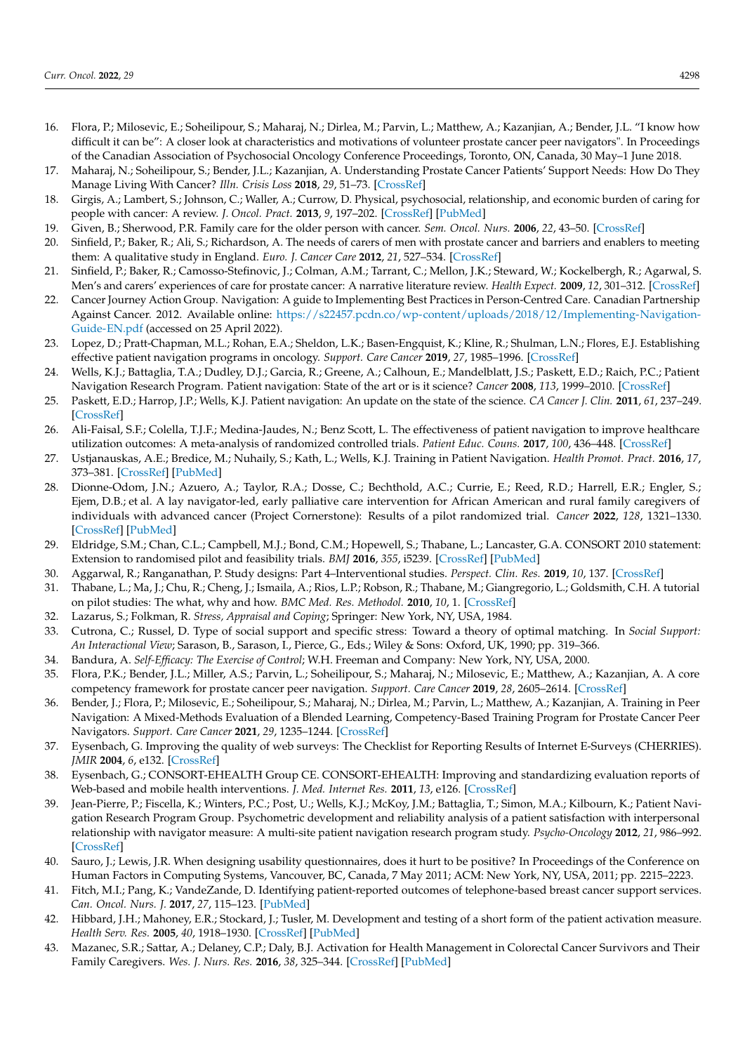- <span id="page-13-0"></span>16. Flora, P.; Milosevic, E.; Soheilipour, S.; Maharaj, N.; Dirlea, M.; Parvin, L.; Matthew, A.; Kazanjian, A.; Bender, J.L. "I know how difficult it can be": A closer look at characteristics and motivations of volunteer prostate cancer peer navigators". In Proceedings of the Canadian Association of Psychosocial Oncology Conference Proceedings, Toronto, ON, Canada, 30 May–1 June 2018.
- <span id="page-13-1"></span>17. Maharaj, N.; Soheilipour, S.; Bender, J.L.; Kazanjian, A. Understanding Prostate Cancer Patients' Support Needs: How Do They Manage Living With Cancer? *Illn. Crisis Loss* **2018**, *29*, 51–73. [\[CrossRef\]](http://doi.org/10.1177/1054137318768728)
- <span id="page-13-2"></span>18. Girgis, A.; Lambert, S.; Johnson, C.; Waller, A.; Currow, D. Physical, psychosocial, relationship, and economic burden of caring for people with cancer: A review. *J. Oncol. Pract.* **2013**, *9*, 197–202. [\[CrossRef\]](http://doi.org/10.1200/JOP.2012.000690) [\[PubMed\]](http://www.ncbi.nlm.nih.gov/pubmed/23942921)
- <span id="page-13-3"></span>19. Given, B.; Sherwood, P.R. Family care for the older person with cancer. *Sem. Oncol. Nurs.* **2006**, *22*, 43–50. [\[CrossRef\]](http://doi.org/10.1016/j.soncn.2005.10.006)
- <span id="page-13-4"></span>20. Sinfield, P.; Baker, R.; Ali, S.; Richardson, A. The needs of carers of men with prostate cancer and barriers and enablers to meeting them: A qualitative study in England. *Euro. J. Cancer Care* **2012**, *21*, 527–534. [\[CrossRef\]](http://doi.org/10.1111/j.1365-2354.2012.01341.x)
- <span id="page-13-5"></span>21. Sinfield, P.; Baker, R.; Camosso-Stefinovic, J.; Colman, A.M.; Tarrant, C.; Mellon, J.K.; Steward, W.; Kockelbergh, R.; Agarwal, S. Men's and carers' experiences of care for prostate cancer: A narrative literature review. *Health Expect.* **2009**, *12*, 301–312. [\[CrossRef\]](http://doi.org/10.1111/j.1369-7625.2009.00546.x)
- <span id="page-13-6"></span>22. Cancer Journey Action Group. Navigation: A guide to Implementing Best Practices in Person-Centred Care. Canadian Partnership Against Cancer. 2012. Available online: [https://s22457.pcdn.co/wp-content/uploads/2018/12/Implementing-Navigation-](https://s22457.pcdn.co/wp-content/uploads/2018/12/Implementing-Navigation-Guide-EN.pdf)[Guide-EN.pdf](https://s22457.pcdn.co/wp-content/uploads/2018/12/Implementing-Navigation-Guide-EN.pdf) (accessed on 25 April 2022).
- <span id="page-13-7"></span>23. Lopez, D.; Pratt-Chapman, M.L.; Rohan, E.A.; Sheldon, L.K.; Basen-Engquist, K.; Kline, R.; Shulman, L.N.; Flores, E.J. Establishing effective patient navigation programs in oncology. *Support. Care Cancer* **2019**, *27*, 1985–1996. [\[CrossRef\]](http://doi.org/10.1007/s00520-019-04739-8)
- <span id="page-13-9"></span>24. Wells, K.J.; Battaglia, T.A.; Dudley, D.J.; Garcia, R.; Greene, A.; Calhoun, E.; Mandelblatt, J.S.; Paskett, E.D.; Raich, P.C.; Patient Navigation Research Program. Patient navigation: State of the art or is it science? *Cancer* **2008**, *113*, 1999–2010. [\[CrossRef\]](http://doi.org/10.1002/cncr.23815)
- <span id="page-13-10"></span>25. Paskett, E.D.; Harrop, J.P.; Wells, K.J. Patient navigation: An update on the state of the science. *CA Cancer J. Clin.* **2011**, *61*, 237–249. [\[CrossRef\]](http://doi.org/10.3322/caac.20111)
- <span id="page-13-8"></span>26. Ali-Faisal, S.F.; Colella, T.J.F.; Medina-Jaudes, N.; Benz Scott, L. The effectiveness of patient navigation to improve healthcare utilization outcomes: A meta-analysis of randomized controlled trials. *Patient Educ. Couns.* **2017**, *100*, 436–448. [\[CrossRef\]](http://doi.org/10.1016/j.pec.2016.10.014)
- <span id="page-13-11"></span>27. Ustjanauskas, A.E.; Bredice, M.; Nuhaily, S.; Kath, L.; Wells, K.J. Training in Patient Navigation. *Health Promot. Pract.* **2016**, *17*, 373–381. [\[CrossRef\]](http://doi.org/10.1177/1524839915616362) [\[PubMed\]](http://www.ncbi.nlm.nih.gov/pubmed/26656600)
- <span id="page-13-12"></span>28. Dionne-Odom, J.N.; Azuero, A.; Taylor, R.A.; Dosse, C.; Bechthold, A.C.; Currie, E.; Reed, R.D.; Harrell, E.R.; Engler, S.; Ejem, D.B.; et al. A lay navigator-led, early palliative care intervention for African American and rural family caregivers of individuals with advanced cancer (Project Cornerstone): Results of a pilot randomized trial. *Cancer* **2022**, *128*, 1321–1330. [\[CrossRef\]](http://doi.org/10.1002/cncr.34044) [\[PubMed\]](http://www.ncbi.nlm.nih.gov/pubmed/34874061)
- <span id="page-13-13"></span>29. Eldridge, S.M.; Chan, C.L.; Campbell, M.J.; Bond, C.M.; Hopewell, S.; Thabane, L.; Lancaster, G.A. CONSORT 2010 statement: Extension to randomised pilot and feasibility trials. *BMJ* **2016**, *355*, i5239. [\[CrossRef\]](http://doi.org/10.1136/bmj.i5239) [\[PubMed\]](http://www.ncbi.nlm.nih.gov/pubmed/27777223)
- <span id="page-13-14"></span>30. Aggarwal, R.; Ranganathan, P. Study designs: Part 4–Interventional studies. *Perspect. Clin. Res.* **2019**, *10*, 137. [\[CrossRef\]](http://doi.org/10.4103/picr.PICR_91_19)
- <span id="page-13-15"></span>31. Thabane, L.; Ma, J.; Chu, R.; Cheng, J.; Ismaila, A.; Rios, L.P.; Robson, R.; Thabane, M.; Giangregorio, L.; Goldsmith, C.H. A tutorial on pilot studies: The what, why and how. *BMC Med. Res. Methodol.* **2010**, *10*, 1. [\[CrossRef\]](http://doi.org/10.1186/1471-2288-10-1)
- <span id="page-13-16"></span>32. Lazarus, S.; Folkman, R. *Stress, Appraisal and Coping*; Springer: New York, NY, USA, 1984.
- <span id="page-13-17"></span>33. Cutrona, C.; Russel, D. Type of social support and specific stress: Toward a theory of optimal matching. In *Social Support: An Interactional View*; Sarason, B., Sarason, I., Pierce, G., Eds.; Wiley & Sons: Oxford, UK, 1990; pp. 319–366.
- <span id="page-13-18"></span>34. Bandura, A. *Self-Efficacy: The Exercise of Control*; W.H. Freeman and Company: New York, NY, USA, 2000.
- <span id="page-13-19"></span>35. Flora, P.K.; Bender, J.L.; Miller, A.S.; Parvin, L.; Soheilipour, S.; Maharaj, N.; Milosevic, E.; Matthew, A.; Kazanjian, A. A core competency framework for prostate cancer peer navigation. *Support. Care Cancer* **2019**, *28*, 2605–2614. [\[CrossRef\]](http://doi.org/10.1007/s00520-019-05059-7)
- <span id="page-13-20"></span>36. Bender, J.; Flora, P.; Milosevic, E.; Soheilipour, S.; Maharaj, N.; Dirlea, M.; Parvin, L.; Matthew, A.; Kazanjian, A. Training in Peer Navigation: A Mixed-Methods Evaluation of a Blended Learning, Competency-Based Training Program for Prostate Cancer Peer Navigators. *Support. Care Cancer* **2021**, *29*, 1235–1244. [\[CrossRef\]](http://doi.org/10.1007/s00520-020-05586-8)
- <span id="page-13-21"></span>37. Eysenbach, G. Improving the quality of web surveys: The Checklist for Reporting Results of Internet E-Surveys (CHERRIES). *JMIR* **2004**, *6*, e132. [\[CrossRef\]](http://doi.org/10.2196/jmir.6.3.e34)
- <span id="page-13-22"></span>38. Eysenbach, G.; CONSORT-EHEALTH Group CE. CONSORT-EHEALTH: Improving and standardizing evaluation reports of Web-based and mobile health interventions. *J. Med. Internet Res.* **2011**, *13*, e126. [\[CrossRef\]](http://doi.org/10.2196/jmir.1923)
- <span id="page-13-23"></span>39. Jean-Pierre, P.; Fiscella, K.; Winters, P.C.; Post, U.; Wells, K.J.; McKoy, J.M.; Battaglia, T.; Simon, M.A.; Kilbourn, K.; Patient Navigation Research Program Group. Psychometric development and reliability analysis of a patient satisfaction with interpersonal relationship with navigator measure: A multi-site patient navigation research program study. *Psycho-Oncology* **2012**, *21*, 986–992. [\[CrossRef\]](http://doi.org/10.1002/pon.2002)
- <span id="page-13-24"></span>40. Sauro, J.; Lewis, J.R. When designing usability questionnaires, does it hurt to be positive? In Proceedings of the Conference on Human Factors in Computing Systems, Vancouver, BC, Canada, 7 May 2011; ACM: New York, NY, USA, 2011; pp. 2215–2223.
- <span id="page-13-25"></span>41. Fitch, M.I.; Pang, K.; VandeZande, D. Identifying patient-reported outcomes of telephone-based breast cancer support services. *Can. Oncol. Nurs. J.* **2017**, *27*, 115–123. [\[PubMed\]](http://www.ncbi.nlm.nih.gov/pubmed/31148750)
- <span id="page-13-26"></span>42. Hibbard, J.H.; Mahoney, E.R.; Stockard, J.; Tusler, M. Development and testing of a short form of the patient activation measure. *Health Serv. Res.* **2005**, *40*, 1918–1930. [\[CrossRef\]](http://doi.org/10.1111/j.1475-6773.2005.00438.x) [\[PubMed\]](http://www.ncbi.nlm.nih.gov/pubmed/16336556)
- <span id="page-13-27"></span>43. Mazanec, S.R.; Sattar, A.; Delaney, C.P.; Daly, B.J. Activation for Health Management in Colorectal Cancer Survivors and Their Family Caregivers. *Wes. J. Nurs. Res.* **2016**, *38*, 325–344. [\[CrossRef\]](http://doi.org/10.1177/0193945915604055) [\[PubMed\]](http://www.ncbi.nlm.nih.gov/pubmed/26385501)